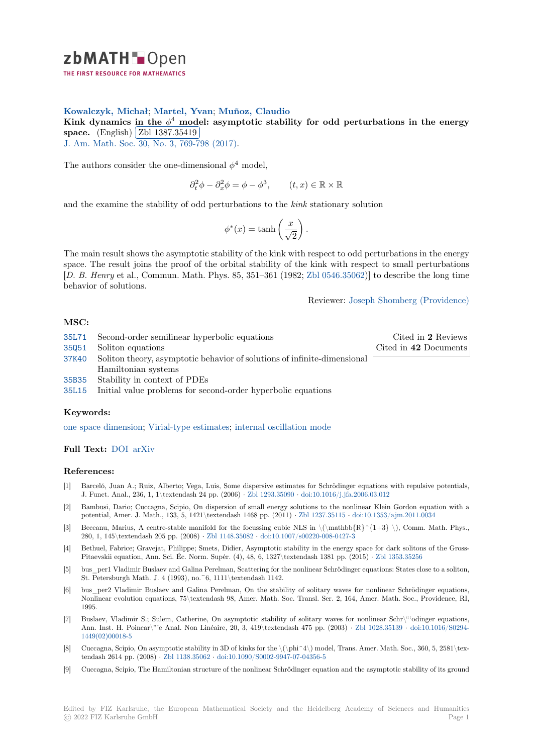

# **Kowalczyk, Michał**; **Martel, Yvan**; **Muñoz, Claudio**

[K](https://zbmath.org/)ink dynamics in the  $\phi^4$  model: asymptotic stability for odd perturbations in the energy **Space.**  $\frac{E}{E}$  (English)  $\frac{E}{E}$  and  $\frac{E}{E}$  (English)  $\frac{E}{E}$  and  $\frac{E}{E}$  and  $\frac{E}{E}$  and  $\frac{E}{E}$  and  $\frac{E}{E}$  and  $\frac{E}{E}$  and  $\frac{E}{E}$  and  $\frac{E}{E}$  and  $\frac{E}{E}$  and  $\frac{E}{E}$  and  $\frac{E}{E}$  and  $\frac{$ 

**J.** Am. Math. Soc. 30, No. 3, 769-798 (2017).

[The authors consider the one-dimensional](https://zbmath.org/1387.35419)  $\phi^4$  [model,](https://zbmath.org/authors/?q=ai:munoz.claudio)

35L71 Second-order semilinear hyperbolic equations

 $\partial_t^2 \phi - \partial_x^2 \phi = \phi - \phi^3$ ,  $(t, x) \in \mathbb{R} \times \mathbb{R}$ 

and the examine the stability of odd perturbations to the *kink* stationary solution

$$
\phi^*(x) = \tanh\left(\frac{x}{\sqrt{2}}\right).
$$

The main result shows the asymptotic stability of the kink with respect to odd perturbations in the energy space. The result joins the proof of the orbital stability of the kink with respect to small perturbations [*D. B. Henry* et al., Commun. Math. Phys. 85, 351–361 (1982; Zbl 0546.35062)] to describe the long time behavior of solutions.

Reviewer: Joseph Shomberg (Providence)

Cited in **2** Reviews Cited in **42** [Documents](https://zbmath.org/authors/?q=shomberg.joseph-l)

## **MSC:**

- 35Q51 Soliton equations 37K40 Soliton theory, asymptotic behavior of solutions of infinite-dimensional Hamiltonian systems
- [35B35](https://zbmath.org/classification/?q=cc:35L71) Stability in context of PDEs
- [35L15](https://zbmath.org/classification/?q=cc:35Q51) Initial value problems for second-order hyperbolic equations

### **[Keyw](https://zbmath.org/classification/?q=cc:37K40)ords:**

[one sp](https://zbmath.org/classification/?q=cc:35B35)ace dimension; Virial-type estimates; internal oscillation mode

### **Full Text:** DOI arXiv

### **[References:](https://zbmath.org/?q=ut:one+space+dimension)**

- [1] Barceló, Juan A.; Ruiz, Alberto; Vega, Luis, Some dispersive estimates for Schrödinger equations with repulsive potentials, J. Funct. [Anal.](https://dx.doi.org/10.1090/jams/870), [236, 1,](https://arxiv.org/abs/1506.07420) 1\textendash 24 pp. (2006) *·* Zbl 1293.35090 *·* doi:10.1016/j.jfa.2006.03.012
- [2] Bambusi, Dario; Cuccagna, Scipio, On dispersion of small energy solutions to the nonlinear Klein Gordon equation with a potential, Amer. J. Math., 133, 5, 1421\textendash 1468 pp. (2011) *·* Zbl 1237.35115 *·* doi:10.1353/ajm.2011.0034
- [3] Beceanu, Marius, A centre-stable manifold for the focussing cubic NLS in  $\(\mathrm{R}^{1+3} \ \)$ , Comm. Math. Phys., 280, 1, 145\textendash 205 pp. (2008) *·* Zbl 1148.35082 *·* [doi:10.1007](https://zbmath.org/1293.35090)/[s00220-008-0427-3](https://dx.doi.org/10.1016/j.jfa.2006.03.012)
- [4] Bethuel, Fabrice; Gravejat, Philippe; Smets, Didier, Asymptotic stability in the energy space for dark solitons of the Gross-Pitaevskii equation, Ann. Sci. Éc. Norm. Supér. (4), 48, 6, 1327\text[endash 1381 pp.](https://zbmath.org/1237.35115) (2015) *·* [Zbl 1353.35256](https://dx.doi.org/10.1353/ajm.2011.0034)
- [5] bus\_per1 Vladimir Buslaev and Galina Perelman, Scattering for the nonlinear Schrödinger equations: States close to a soliton, St. Petersburgh Math. J. 4 (1993), no. ~[6, 1111\textend](https://zbmath.org/1148.35082)a[sh 1142.](https://dx.doi.org/10.1007/s00220-008-0427-3)
- bus per2 Vladimir Buslaev and Galina Perelman, On the stability of solitary waves for nonlinear Schrödinger equations, Nonlinear evolution equations, 75\textendash 98, Amer. Math. Soc. Transl. Ser. 2, 164, Ame[r. Math. Soc., P](https://zbmath.org/1353.35256)rovidence, RI, 1995.
- [7] Buslaev, Vladimir S.; Sulem, Catherine, On asymptotic stability of solitary waves for nonlinear Schr\"'odinger equations, Ann. Inst. H. Poincar\"'e Anal. Non Linéaire, 20, 3, 419\textendash 475 pp. (2003) *·* Zbl 1028.35139 *·* doi:10.1016/S0294- 1449(02)00018-5
- [8] Cuccagna, Scipio, On asymptotic stability in 3D of kinks for the \(\phi^4\) model, Trans. Amer. Math. Soc., 360, 5, 2581\textendash 2614 pp. (2008) *·* Zbl 1138.35062 *·* doi:10.1090/S0002-9947-07-04356-5
- [9] Cuccagna, Scipio, The Hamiltonian structure of the nonlinear Schrödinger equation and [the asymptotic](https://zbmath.org/1028.35139) st[ability of its ground](https://dx.doi.org/10.1016/S0294-1449(02)00018-5)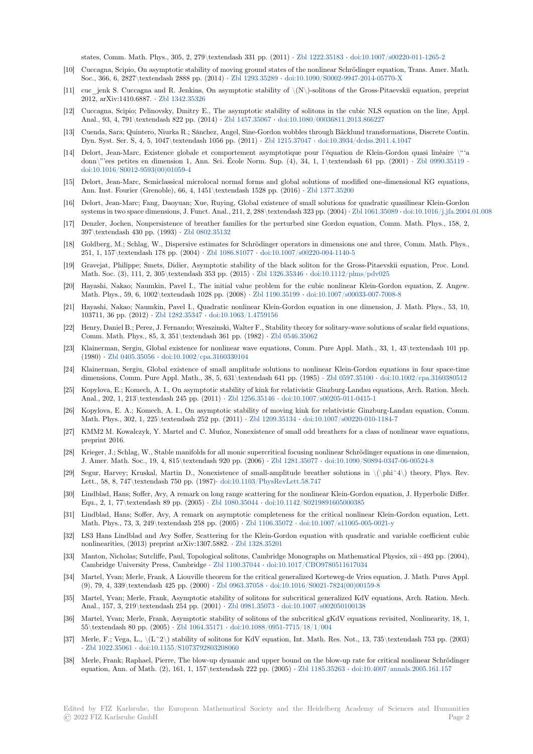states, Comm. Math. Phys., 305, 2, 279\textendash 331 pp. (2011) *·* Zbl 1222.35183 *·* doi:10.1007/s00220-011-1265-2

- [10] Cuccagna, Scipio, On asymptotic stability of moving ground states of the nonlinear Schrödinger equation, Trans. Amer. Math. Soc., 366, 6, 2827\textendash 2888 pp. (2014) *·* Zbl 1293.35289 *·* doi:10.1090/S0002-9947-2014-05770-X
- [11] cuc\_jenk S. Cuccagna and R. Jenkins, On asymptotic stability of  $\langle N \rangle$ -solitons of the Gross-Pitaevskii equation, preprint 2012, arXiv:1410.6887. *·* Zbl 1342.35326
- [12] Cuccagna, Scipio; Pelinovsky, Dmitry E., The asymptotic stability of solitons in the cubic NLS equation on the line, Appl. Anal., 93, 4, 791\textendash 822 pp. (2014) *·* Z[bl 1457.35067](https://zbmath.org/1293.35289) *·* d[oi:10.1080/00036811.2013.866227](https://dx.doi.org/10.1090/S0002-9947-2014-05770-X)
- [13] Cuenda, Sara; Quintero, Niurka R.; Sánchez, Angel, Sine-Gordon wobbles through Bäcklund transformations, Discrete Contin. Dyn. Syst. Ser. S, 4, 5, [1047\textendash](https://zbmath.org/1342.35326) 1056 pp. (2011) *·* Zbl 1215.37047 *·* doi:10.3934/dcdss.2011.4.1047
- [14] Delort, Jean-Marc, Existence globale et comportement asymptotique pour l'équation de Klein-Gordon quasi linéaire \"'a donn\"'ees petites en dimension 1, Ann. Sci. [École Norm. S](https://zbmath.org/1457.35067)u[p. \(4\), 34, 1, 1\textendash 61 pp.](https://dx.doi.org/10.1080/00036811.2013.866227) (2001) *·* Zbl 0990.35119 *·* doi:10.1016/S0012-9593(00)01059-4
- [15] Delort, Jean-Marc, Semiclassical microlocal normal forms [and global solu](https://zbmath.org/1215.37047)t[ions of modified one-dimension](https://dx.doi.org/10.3934/dcdss.2011.4.1047)al KG equations, Ann. Inst. Fourier (Grenoble), 66, 4, 1451\textendash 1528 pp. (2016) *·* Zbl 1377.35200
- [16] Delort, Jean-Marc; Fang, Daoyuan; Xue, Ruying, Global existence of small solutions for quadratic quasilin[ear Klein-Gordo](https://zbmath.org/0990.35119)n [systems in two space dimensions, J. F](https://dx.doi.org/10.1016/S0012-9593(00)01059-4)unct. Anal., 211, 2, 288\textendash 323 pp. (2004) *·* Zbl 1061.35089 *·* doi:10.1016/j.jfa.2004.01.008
- [17] Denzler, Jochen, Nonpersistence of breather families for the perturbed sine Gordon equation, Comm. Math. Phys., 158, 2, 397\textendash 430 pp. (1993) *·* Zbl 0802.35132
- [18] Goldberg, M.; Schlag, W., Dispersive estimates for Schrödinger operators in dimensions one and three, Comm. Math. Phys., 251, 1, 157\textendash 178 pp. (2004) *·* Zbl 1086.81077 *·* doi:10.1007/s00220-004-1140-[5](https://zbmath.org/1061.35089)
- [19] Gravejat, Philippe; Smets, Didier, Asymptotic stability of the black soliton for the Gross-Pitaevskii equation, Proc. Lond. Math. Soc. (3), 111, 2, 305\text[endash 353 pp. \(](https://zbmath.org/0802.35132)2015) *·* Zbl 1326.35346 *·* doi:10.1112/plms/pdv025
- [20] Hayashi, Nakao; Naumkin, Pavel I., The initial value problem for the cubic nonlinear Klein-Gordon equation, Z. Angew. Math. Phys., 59, 6, 1002\textendash 10[28 pp. \(2008\)](https://zbmath.org/1086.81077) *·* Zbl 1190.35199 *·* [doi:10.1007/s000](https://dx.doi.org/10.1007/s00220-004-1140-5)33-007-7008-8
- [21] Hayashi, Nakao; Naumkin, Pavel I., Quadratic nonlinear Klein-Gordon equation in one dimension, J. Math. Phys., 53, 10, 103711, 36 pp. (2012) *·* Zbl 1282.35347 *·* doi:10.1063/1.4[759156](https://zbmath.org/1326.35346)
- [22] Henry, Daniel B.; Perez, J. Fernando; Wreszinski, Walter F., Stability theory for solitary-wave solutions of scalar field equations, Comm. Math. Phys., 85, 3, 351\textendash 361 pp. (1982) *·* [Zbl 0546.3](https://zbmath.org/1190.35199)5[062](https://dx.doi.org/10.1007/s00033-007-7008-8)
- [23] Klainerman, Sergiu, Global existence for nonlinear wave equations, Comm. Pure Appl. Math., 33, 1, 43\textendash 101 pp. (1980) *·* Zbl 0405.35056 *·* [doi:10.1002/c](https://zbmath.org/1282.35347)p[a.3160330104](https://dx.doi.org/10.1063/1.4759156)
- [24] Klainerman, Sergiu, Global existence of small amplitude solutions to nonlinear Klein-Gordon equations in four space-time dimensions, Comm. Pure Appl. Math., 38, 5, 631\textendas[h 641 pp. \(1985\)](https://zbmath.org/0546.35062) *·* Zbl 0597.35100 *·* doi:10.1002/cpa.3160380512
- [25] Kopylova, E.; Komech, A. I., On asymptotic stability of kink for relativistic Ginzburg-Landau equations, Arch. Ration. Mech. Anal., 2[02, 1, 213\texte](https://zbmath.org/0405.35056)n[dash 245 pp. \(2011\)](https://dx.doi.org/10.1002/cpa.3160330104) *·* Zbl 1256.35146 *·* doi:10.1007/s00205-011-0415-1
- [26] Kopylova, E. A.; Komech, A. I., On asymptotic stability of moving kink for relativistic Ginzburg-Landau equation, Comm. Math. Phys., 302, 1, 225\textendash 252 pp. (2011) *·* Zbl 1209.35134 *·* doi:10.[1007/s00220-010](https://zbmath.org/0597.35100)-[1184-7](https://dx.doi.org/10.1002/cpa.3160380512)
- [27] KMM2 M. Kowalczyk, Y. Martel and C. Muñoz, Nonexistence of small odd breathers for a class of nonlinear wave equations, preprint 2016.
- [28] Krieger, J.; Schlag, W., Stable manifolds for all monic supercritical focusing nonlinear Schrödinger equations in one dimension, J. Amer. Math. Soc., 19, 4, 815\textendash 920 pp. (2006) *·* [Zbl 1281](https://zbmath.org/1209.35134).35077 *·* [doi:10.1090/S0894-0347](https://dx.doi.org/10.1007/s00220-010-1184-7)-06-00524-8
- [29] Segur, Harvey; Kruskal, Martin D., Nonexistence of small-amplitude breather solutions in \(\phi^4\) theory, Phys. Rev. Lett., 58, 8, 747\textendash 750 pp. (1987)*·* doi:10.1103/PhysRevLett.58.747
- [30] Lindblad, Hans; Soffer, Avy, A remark on long range scattering for the nonlinear Klein-Gordon equation, J. Hyperbolic Differ. Equ., 2, 1, 77\textendash 89 pp. (2005) *·* Zbl 1080.35044 *·* d[oi:10.1142/S021](https://zbmath.org/1281.35077)9[891605000385](https://dx.doi.org/10.1090/S0894-0347-06-00524-8)
- [31] Lindblad, Hans; Soffer, Avy, A remark on asymptotic completeness for the critical nonlinear Klein-Gordon equation, Lett. Math. Phys., 73, 3, 249\textendash 258 pp. (2005) *·* [Zbl 1106.35072](https://dx.doi.org/10.1103/PhysRevLett.58.747) *·* doi:10.1007/s11005-005-0021-y
- [32] LS3 Hans Lindblad and Avy Soffer, Scattering for the Klein-Gordon equation with quadratic and variable coefficient cubic nonlinearities, (2013) preprint arXiv:1307.5882. *·* [Zbl 132](https://zbmath.org/1080.35044)8.[35201](https://dx.doi.org/10.1142/S0219891605000385)
- [33] Manton, Nicholas; Sutcliffe, Paul, Topological solitons, Cambridge Monographs on Mathematical Physics, xii+493 pp. (2004), Cambridge University Press, Cambridge *·* Zbl 1100.37044 *·* [doi:10.10](https://zbmath.org/1106.35072)1[7/CBO9780511617034](https://dx.doi.org/10.1007/s11005-005-0021-y)
- [34] Martel, Yvan; Merle, Frank, A Liouville theorem for the critical generalized Korteweg-de Vries equation, J. Math. Pures Appl. (9), 79, 4, 339\textendash 425 pp. (2000) *·* Zbl 0[963.37058](https://zbmath.org/1328.35201) *·* doi:10.1016/S0021-7824(00)00159-8
- [35] Martel, Yvan; Merle, Frank, Asymptotic stability of solitons for subcritical generalized KdV equations, Arch. Ration. Mech. Anal., 157, 3, 219\textendash 254 pp. (2001) *·* [Zbl 0981.35](https://zbmath.org/1100.37044)073 *·* [doi:10.1007/s002050100138](https://dx.doi.org/10.1017/CBO9780511617034)
- [36] Martel, Yvan; Merle, Frank, Asymptotic stability of solitons of the subcritical gKdV equations revisited, Nonlinearity, 18, 1, 55\textendash 80 pp. (2005) *·* Zbl 1064.35171 *·* [doi:10.1088](https://zbmath.org/0963.37058)/[0951-7715/18/1/004](https://dx.doi.org/10.1016/S0021-7824(00)00159-8)
- [37] Merle, F.; Vega, L.,  $\langle L^2 \rangle$  stability of solitons for KdV equation, Int. Math. Res. Not., 13, 735 $\text{textends}$  753 pp. (2003) *·* Zbl 1022.35061 *·* doi:10.1155/S1073792803208[060](https://zbmath.org/0981.35073)
- [38] Merle, Frank; Raphael, Pierre, The blow-up dynamic and upper bound on the blow-up rate for critical nonlinear Schrödinger equation, Ann. of Math. (2),1[61, 1, 157\texte](https://zbmath.org/1064.35171)n[dash 222 pp. \(2005\)](https://dx.doi.org/10.1088/0951-7715/18/1/004) *·* Zbl 1185.35263 *·* doi:10.4007/annals.2005.161.157